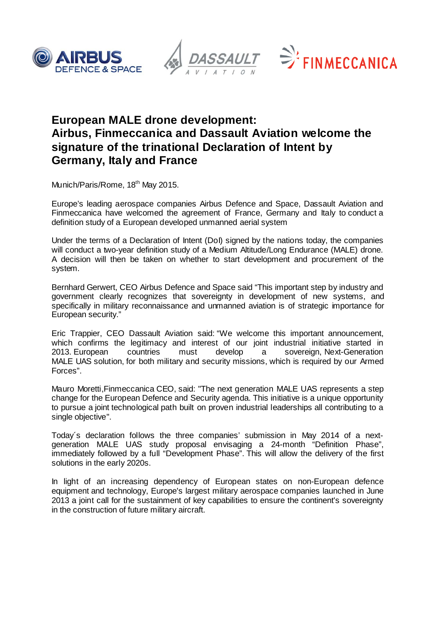





# **European MALE drone development: Airbus, Finmeccanica and Dassault Aviation welcome the signature of the trinational Declaration of Intent by Germany, Italy and France**

Munich/Paris/Rome, 18<sup>th</sup> May 2015.

Europe's leading aerospace companies Airbus Defence and Space, Dassault Aviation and Finmeccanica have welcomed the agreement of France, Germany and Italy to conduct a definition study of a European developed unmanned aerial system

Under the terms of a Declaration of Intent (DoI) signed by the nations today, the companies will conduct a two-year definition study of a Medium Altitude/Long Endurance (MALE) drone. A decision will then be taken on whether to start development and procurement of the system.

Bernhard Gerwert, CEO Airbus Defence and Space said "This important step by industry and government clearly recognizes that sovereignty in development of new systems, and specifically in military reconnaissance and unmanned aviation is of strategic importance for European security."

Eric Trappier, CEO Dassault Aviation said: "We welcome this important announcement, which confirms the legitimacy and interest of our joint industrial initiative started in<br>2013. European countries must develop a sovereign, Next-Generation must develop a sovereign, Next-Generation MALE UAS solution, for both military and security missions, which is required by our Armed Forces".

Mauro Moretti,Finmeccanica CEO, said: "The next generation MALE UAS represents a step change for the European Defence and Security agenda. This initiative is a unique opportunity to pursue a joint technological path built on proven industrial leaderships all contributing to a single objective".

Today´s declaration follows the three companies' submission in May 2014 of a nextgeneration MALE UAS study proposal envisaging a 24-month "Definition Phase", immediately followed by a full "Development Phase". This will allow the delivery of the first solutions in the early 2020s.

In light of an increasing dependency of European states on non-European defence equipment and technology, Europe's largest military aerospace companies launched in June 2013 a joint call for the sustainment of key capabilities to ensure the continent's sovereignty in the construction of future military aircraft.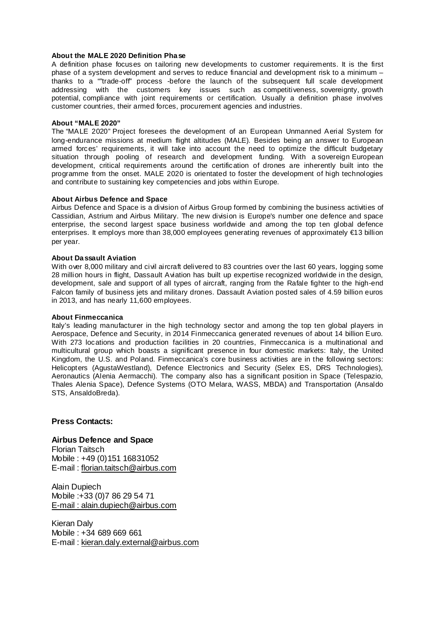#### **About the MALE 2020 Definition Phase**

A definition phase focuses on tailoring new developments to customer requirements. It is the first phase of a system development and serves to reduce financial and development risk to a minimum – thanks to a ""trade-off" process -before the launch of the subsequent full scale development addressing with the customers key issues such as competitiveness, sovereignty, growth potential, compliance with joint requirements or certification. Usually a definition phase involves customer countries, their armed forces, procurement agencies and industries.

#### **About "MALE 2020"**

The "MALE 2020" Project foresees the development of an European Unmanned Aerial System for long-endurance missions at medium flight altitudes (MALE). Besides being an answer to European armed forces' requirements, it will take into account the need to optimize the difficult budgetary situation through pooling of research and development funding. With a sovereign European development, critical requirements around the certification of drones are inherently built into the programme from the onset. MALE 2020 is orientated to foster the development of high technologies and contribute to sustaining key competencies and jobs within Europe.

#### **About Airbus Defence and Space**

Airbus Defence and Space is a division of Airbus Group formed by combining the business activities of Cassidian, Astrium and Airbus Military. The new division is Europe's number one defence and space enterprise, the second largest space business worldwide and among the top ten global defence enterprises. It employs more than 38,000 employees generating revenues of approximately  $\in$ 13 billion per year.

#### **About Dassault Aviation**

With over 8,000 military and civil aircraft delivered to 83 countries over the last 60 years, logging some 28 million hours in flight, Dassault Aviation has built up expertise recognized worldwide in the design, development, sale and support of all types of aircraft, ranging from the Rafale fighter to the high-end Falcon family of business jets and military drones. Dassault Aviation posted sales of 4.59 billion euros in 2013, and has nearly 11,600 employees.

#### **About Finmeccanica**

Italy's leading manufacturer in the high technology sector and among the top ten global players in Aerospace, Defence and Security, in 2014 Finmeccanica generated revenues of about 14 billion Euro. With 273 locations and production facilities in 20 countries, Finmeccanica is a multinational and multicultural group which boasts a significant presence in four domestic markets: Italy, the United Kingdom, the U.S. and Poland. Finmeccanica's core business activities are in the following sectors: Helicopters (AgustaWestland), Defence Electronics and Security (Selex ES, DRS Technologies), Aeronautics (Alenia Aermacchi). The company also has a significant position in Space (Telespazio, Thales Alenia Space), Defence Systems (OTO Melara, WASS, MBDA) and Transportation (Ansaldo STS, AnsaldoBreda).

### **Press Contacts:**

## **Airbus Defence and Space**

Florian Taitsch Mobile : +49 (0) 151 16831052 E-mail : [florian.taitsch@airbus.com](mailto:florian.taitsch@airbus.com)

Alain Dupiech Mobile :+33 (0)7 86 29 54 71 E-mail : alain.dupiech@airbus.com

Kieran Daly Mobile : +34 689 669 661 E-mail : kieran.daly.external@airbus.com